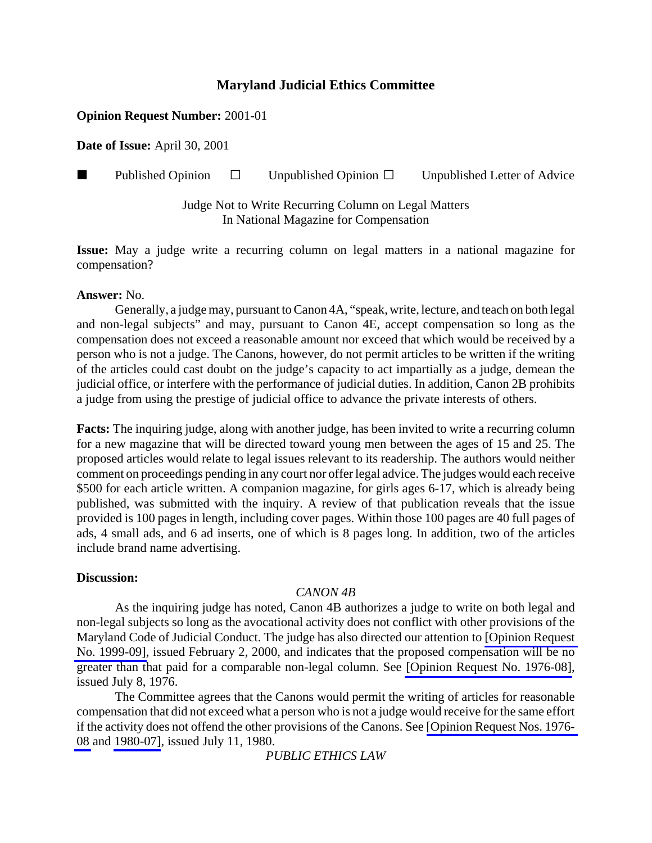## **Opinion Request Number:** 2001-01

**Date of Issue:** April 30, 2001

**Published Opinion**  $\Box$  Unpublished Opinion  $\Box$  Unpublished Letter of Advice

Judge Not to Write Recurring Column on Legal Matters In National Magazine for Compensation

**Issue:** May a judge write a recurring column on legal matters in a national magazine for compensation?

### **Answer:** No.

Generally, a judge may, pursuant to Canon 4A, "speak, write, lecture, and teach on both legal and non-legal subjects" and may, pursuant to Canon 4E, accept compensation so long as the compensation does not exceed a reasonable amount nor exceed that which would be received by a person who is not a judge. The Canons, however, do not permit articles to be written if the writing of the articles could cast doubt on the judge's capacity to act impartially as a judge, demean the judicial office, or interfere with the performance of judicial duties. In addition, Canon 2B prohibits a judge from using the prestige of judicial office to advance the private interests of others.

**Facts:** The inquiring judge, along with another judge, has been invited to write a recurring column for a new magazine that will be directed toward young men between the ages of 15 and 25. The proposed articles would relate to legal issues relevant to its readership. The authors would neither comment on proceedings pending in any court nor offer legal advice. The judges would each receive \$500 for each article written. A companion magazine, for girls ages 6-17, which is already being published, was submitted with the inquiry. A review of that publication reveals that the issue provided is 100 pages in length, including cover pages. Within those 100 pages are 40 full pages of ads, 4 small ads, and 6 ad inserts, one of which is 8 pages long. In addition, two of the articles include brand name advertising.

### **Discussion:**

### *CANON 4B*

As the inquiring judge has noted, Canon 4B authorizes a judge to write on both legal and non-legal subjects so long as the avocational activity does not conflict with other provisions of the Maryland Code of Judicial Conduct. The judge has also directed our attention to [\[Opinion Request](http://www.mdcourts.gov/ethics/pdfs/1999-09.pdf) [No. 1999-09\],](http://www.mdcourts.gov/ethics/pdfs/1999-09.pdf) issued February 2, 2000, and indicates that the proposed compensation will be no greater than that paid for a comparable non-legal column. See [\[Opinion Request No. 1976-08\],](http://www.mdcourts.gov/ethics/pdfs/1976-08.pdf) issued July 8, 1976.

The Committee agrees that the Canons would permit the writing of articles for reasonable compensation that did not exceed what a person who is not a judge would receive for the same effort if the activity does not offend the other provisions of the Canons. See [\[Opinion Request Nos. 1976-](http://www.mdcourts.gov/ethics/pdfs/1976-08.pdf) [08](http://www.mdcourts.gov/ethics/pdfs/1976-08.pdf) and [1980-07\]](http://www.mdcourts.gov/ethics/pdfs/1980-07.pdf), issued July 11, 1980.

*PUBLIC ETHICS LAW*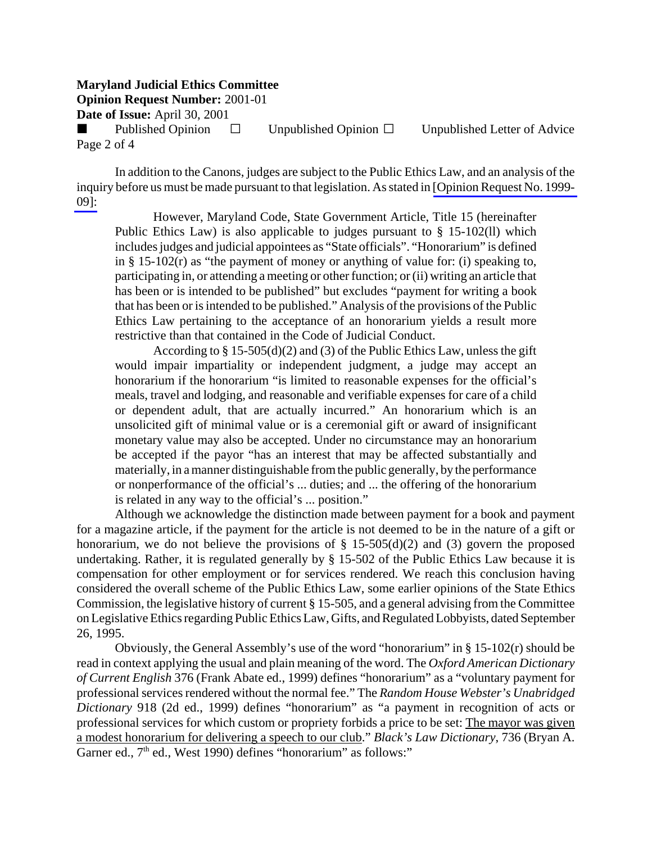**Opinion Request Number:** 2001-01

**Date of Issue:** April 30, 2001

Published Opinion  $\Box$  Unpublished Opinion  $\Box$  Unpublished Letter of Advice Page 2 of 4

In addition to the Canons, judges are subject to the Public Ethics Law, and an analysis of the inquiry before us must be made pursuant to that legislation. As stated in [\[Opinion Request No. 1999-](http://www.mdcourts.gov/ethics/pdfs/1999-09.pdf) [09\]:](http://www.mdcourts.gov/ethics/pdfs/1999-09.pdf)

However, Maryland Code, State Government Article, Title 15 (hereinafter Public Ethics Law) is also applicable to judges pursuant to § 15-102(ll) which includes judges and judicial appointees as "State officials". "Honorarium" is defined in  $\S$  15-102(r) as "the payment of money or anything of value for: (i) speaking to, participating in, or attending a meeting or other function; or (ii) writing an article that has been or is intended to be published" but excludes "payment for writing a book that has been or is intended to be published." Analysis of the provisions of the Public Ethics Law pertaining to the acceptance of an honorarium yields a result more restrictive than that contained in the Code of Judicial Conduct.

According to § 15-505(d)(2) and (3) of the Public Ethics Law, unless the gift would impair impartiality or independent judgment, a judge may accept an honorarium if the honorarium "is limited to reasonable expenses for the official's meals, travel and lodging, and reasonable and verifiable expenses for care of a child or dependent adult, that are actually incurred." An honorarium which is an unsolicited gift of minimal value or is a ceremonial gift or award of insignificant monetary value may also be accepted. Under no circumstance may an honorarium be accepted if the payor "has an interest that may be affected substantially and materially, in a manner distinguishable from the public generally, by the performance or nonperformance of the official's ... duties; and ... the offering of the honorarium is related in any way to the official's ... position."

Although we acknowledge the distinction made between payment for a book and payment for a magazine article, if the payment for the article is not deemed to be in the nature of a gift or honorarium, we do not believe the provisions of  $\S$  15-505(d)(2) and (3) govern the proposed undertaking. Rather, it is regulated generally by § 15-502 of the Public Ethics Law because it is compensation for other employment or for services rendered. We reach this conclusion having considered the overall scheme of the Public Ethics Law, some earlier opinions of the State Ethics Commission, the legislative history of current § 15-505, and a general advising from the Committee on Legislative Ethics regarding Public Ethics Law, Gifts, and Regulated Lobbyists, dated September 26, 1995.

Obviously, the General Assembly's use of the word "honorarium" in  $\S 15{\text -}102(r)$  should be read in context applying the usual and plain meaning of the word. The *Oxford American Dictionary of Current English* 376 (Frank Abate ed., 1999) defines "honorarium" as a "voluntary payment for professional services rendered without the normal fee." The *Random House Webster's Unabridged Dictionary* 918 (2d ed., 1999) defines "honorarium" as "a payment in recognition of acts or professional services for which custom or propriety forbids a price to be set: The mayor was given a modest honorarium for delivering a speech to our club." *Black's Law Dictionary*, 736 (Bryan A. Garner ed.,  $7<sup>th</sup>$  ed., West 1990) defines "honorarium" as follows:"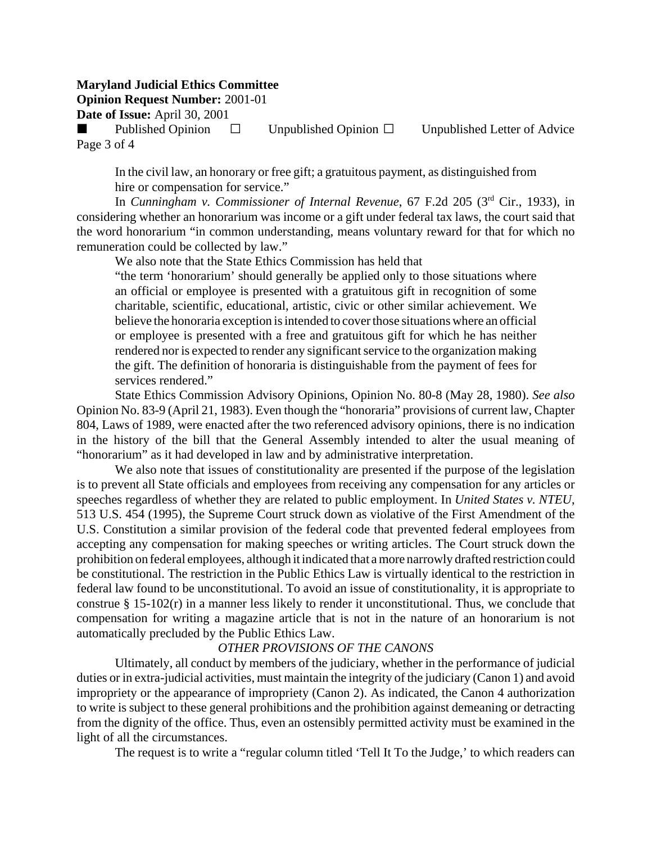**Opinion Request Number:** 2001-01

**Date of Issue:** April 30, 2001

Published Opinion  $\square$  Unpublished Opinion  $\square$  Unpublished Letter of Advice Page 3 of 4

In the civil law, an honorary or free gift; a gratuitous payment, as distinguished from hire or compensation for service."

In *Cunningham v. Commissioner of Internal Revenue*, 67 F.2d 205 (3rd Cir., 1933), in considering whether an honorarium was income or a gift under federal tax laws, the court said that the word honorarium "in common understanding, means voluntary reward for that for which no remuneration could be collected by law."

We also note that the State Ethics Commission has held that

"the term 'honorarium' should generally be applied only to those situations where an official or employee is presented with a gratuitous gift in recognition of some charitable, scientific, educational, artistic, civic or other similar achievement. We believe the honoraria exception is intended to cover those situations where an official or employee is presented with a free and gratuitous gift for which he has neither rendered nor is expected to render any significant service to the organization making the gift. The definition of honoraria is distinguishable from the payment of fees for services rendered."

State Ethics Commission Advisory Opinions, Opinion No. 80-8 (May 28, 1980). *See also* Opinion No. 83-9 (April 21, 1983). Even though the "honoraria" provisions of current law, Chapter 804, Laws of 1989, were enacted after the two referenced advisory opinions, there is no indication in the history of the bill that the General Assembly intended to alter the usual meaning of "honorarium" as it had developed in law and by administrative interpretation.

We also note that issues of constitutionality are presented if the purpose of the legislation is to prevent all State officials and employees from receiving any compensation for any articles or speeches regardless of whether they are related to public employment. In *United States v. NTEU*, 513 U.S. 454 (1995), the Supreme Court struck down as violative of the First Amendment of the U.S. Constitution a similar provision of the federal code that prevented federal employees from accepting any compensation for making speeches or writing articles. The Court struck down the prohibition on federal employees, although it indicated that a more narrowly drafted restriction could be constitutional. The restriction in the Public Ethics Law is virtually identical to the restriction in federal law found to be unconstitutional. To avoid an issue of constitutionality, it is appropriate to construe § 15-102(r) in a manner less likely to render it unconstitutional. Thus, we conclude that compensation for writing a magazine article that is not in the nature of an honorarium is not automatically precluded by the Public Ethics Law.

#### *OTHER PROVISIONS OF THE CANONS*

Ultimately, all conduct by members of the judiciary, whether in the performance of judicial duties or in extra-judicial activities, must maintain the integrity of the judiciary (Canon 1) and avoid impropriety or the appearance of impropriety (Canon 2). As indicated, the Canon 4 authorization to write is subject to these general prohibitions and the prohibition against demeaning or detracting from the dignity of the office. Thus, even an ostensibly permitted activity must be examined in the light of all the circumstances.

The request is to write a "regular column titled 'Tell It To the Judge,' to which readers can